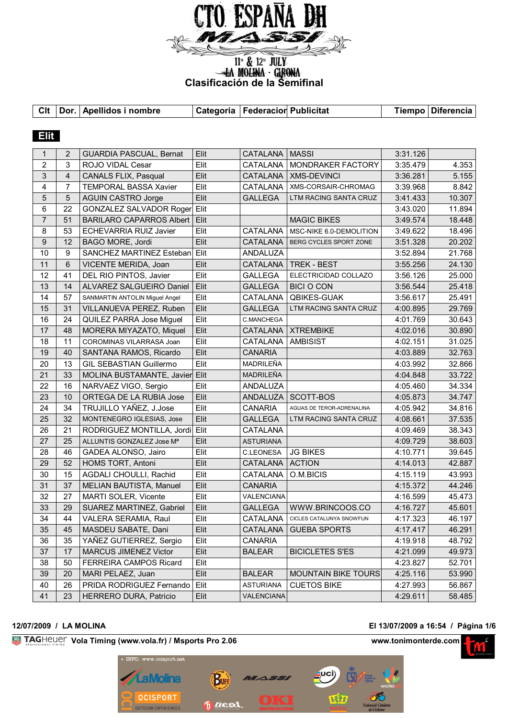

**Clasificación de la Semifinal**<br> **Clasificación de la Semifinal** 

**Clt Dor. Apellidos i nombre Categoria FederacionPublicitat Tiempo Diferencia**

| <b>Elit</b>      |                 |                                 |      |                   |                            |          |        |
|------------------|-----------------|---------------------------------|------|-------------------|----------------------------|----------|--------|
| 1                | $\overline{2}$  | <b>GUARDIA PASCUAL, Bernat</b>  | Elit | <b>CATALANA</b>   | <b>MASSI</b>               | 3:31.126 |        |
| $\overline{2}$   | 3               | ROJO VIDAL Cesar                | Elit | CATALANA          | MONDRAKER FACTORY          | 3:35.479 | 4.353  |
| 3                | $\overline{4}$  | <b>CANALS FLIX, Pasqual</b>     | Elit | CATALANA          | <b>XMS-DEVINCI</b>         | 3:36.281 | 5.155  |
| 4                | $\overline{7}$  | <b>TEMPORAL BASSA Xavier</b>    | Elit | CATALANA          | XMS-CORSAIR-CHROMAG        | 3:39.968 | 8.842  |
| 5                | $5\phantom{.0}$ | <b>AGUIN CASTRO Jorge</b>       | Elit | <b>GALLEGA</b>    | LTM RACING SANTA CRUZ      | 3:41.433 | 10.307 |
| 6                | 22              | GONZALEZ SALVADOR Roger         | Elit |                   |                            | 3:43.020 | 11.894 |
| $\overline{7}$   | 51              | <b>BARILARO CAPARROS Albert</b> | Elit |                   | <b>MAGIC BIKES</b>         | 3:49.574 | 18.448 |
| 8                | 53              | <b>ECHEVARRIA RUIZ Javier</b>   | Elit | CATALANA          | MSC-NIKE 6.0-DEMOLITION    | 3:49.622 | 18.496 |
| $\boldsymbol{9}$ | 12              | BAGO MORE, Jordi                | Elit | CATALANA          | BERG CYCLES SPORT ZONE     | 3:51.328 | 20.202 |
| 10               | 9               | SANCHEZ MARTINEZ Esteban        | Elit | ANDALUZA          |                            | 3:52.894 | 21.768 |
| 11               | 6               | VICENTE MERIDA, Joan            | Elit | CATALANA          | <b>TREK - BEST</b>         | 3:55.256 | 24.130 |
| 12               | 41              | DEL RIO PINTOS, Javier          | Elit | <b>GALLEGA</b>    | ELECTRICIDAD COLLAZO       | 3:56.126 | 25.000 |
| 13               | 14              | ALVAREZ SALGUEIRO Daniel        | Elit | <b>GALLEGA</b>    | <b>BICI O CON</b>          | 3:56.544 | 25.418 |
| 14               | 57              | SANMARTIN ANTOLIN Miguel Angel  | Elit | CATALANA          | <b>QBIKES-GUAK</b>         | 3:56.617 | 25.491 |
| 15               | 31              | VILLANUEVA PEREZ, Ruben         | Elit | <b>GALLEGA</b>    | LTM RACING SANTA CRUZ      | 4:00.895 | 29.769 |
| 16               | 24              | QUILEZ PARRA Jose Miguel        | Elit | C.MANCHEGA        |                            | 4:01.769 | 30.643 |
| 17               | 48              | MORERA MIYAZATO, Miquel         | Elit | CATALANA          | <b>XTREMBIKE</b>           | 4:02.016 | 30.890 |
| 18               | 11              | COROMINAS VILARRASA Joan        | Elit | CATALANA          | <b>AMBISIST</b>            | 4:02.151 | 31.025 |
| 19               | 40              | SANTANA RAMOS, Ricardo          | Elit | <b>CANARIA</b>    |                            | 4:03.889 | 32.763 |
| 20               | 13              | <b>GIL SEBASTIAN Guillermo</b>  | Elit | <b>MADRILEÑA</b>  |                            | 4:03.992 | 32.866 |
| 21               | 33              | MOLINA BUSTAMANTE, Javier Elit  |      | MADRILEÑA         |                            | 4:04.848 | 33.722 |
| 22               | 16              | NARVAEZ VIGO, Sergio            | Elit | ANDALUZA          |                            | 4:05.460 | 34.334 |
| 23               | 10              | ORTEGA DE LA RUBIA Jose         | Elit | ANDALUZA          | SCOTT-BOS                  | 4:05.873 | 34.747 |
| 24               | 34              | TRUJILLO YAÑEZ, J.Jose          | Elit | <b>CANARIA</b>    | AGUAS DE TEROR-ADRENALINA  | 4:05.942 | 34.816 |
| 25               | 32              | MONTENEGRO IGLESIAS, Jose       | Elit | <b>GALLEGA</b>    | LTM RACING SANTA CRUZ      | 4:08.661 | 37.535 |
| 26               | 21              | RODRIGUEZ MONTILLA, Jordi       | Elit | CATALANA          |                            | 4:09.469 | 38.343 |
| 27               | 25              | ALLUNTIS GONZALEZ Jose Mª       | Elit | <b>ASTURIANA</b>  |                            | 4:09.729 | 38.603 |
| 28               | 46              | GADEA ALONSO, Jairo             | Elit | <b>C.LEONESA</b>  | <b>JG BIKES</b>            | 4:10.771 | 39.645 |
| 29               | 52              | HOMS TORT, Antoni               | Elit | CATALANA          | <b>ACTION</b>              | 4:14.013 | 42.887 |
| 30               | 15              | AGDALI CHOULLI, Rachid          | Elit | CATALANA          | O.M.BICIS                  | 4:15.119 | 43.993 |
| 31               | 37              | MELIAN BAUTISTA, Manuel         | Elit | <b>CANARIA</b>    |                            | 4:15.372 | 44.246 |
| 32               | 27              | MARTI SOLER, Vicente            | Elit | VALENCIANA        |                            | 4:16.599 | 45.473 |
| 33               | 29              | SUAREZ MARTINEZ, Gabriel        | Elit | <b>GALLEGA</b>    | WWW.BRINCOOS.CO            | 4:16.727 | 45.601 |
| 34               | 44              | VALERA SERAMIA, Raul            | Elit | CATALANA          | CICLES CATALUNYA SNOWFUN   | 4:17.323 | 46.197 |
| 35               | 45              | MASDEU SABATE, Dani             | Elit | CATALANA          | <b>GUEBA SPORTS</b>        | 4:17.417 | 46.291 |
| 36               | 35              | YAÑEZ GUTIERREZ, Sergio         | Elit | <b>CANARIA</b>    |                            | 4:19.918 | 48.792 |
| 37               | 17              | <b>MARCUS JIMENEZ Victor</b>    | Elit | <b>BALEAR</b>     | <b>BICICLETES S'ES</b>     | 4:21.099 | 49.973 |
| 38               | 50              | <b>FERREIRA CAMPOS Ricard</b>   | Elit |                   |                            | 4:23.827 | 52.701 |
| 39               | 20              | MARI PELAEZ, Juan               | Elit | <b>BALEAR</b>     | <b>MOUNTAIN BIKE TOURS</b> | 4:25.116 | 53.990 |
| 40               | 26              | PRIDA RODRIGUEZ Fernando        | Elit | <b>ASTURIANA</b>  | <b>CUETOS BIKE</b>         | 4:27.993 | 56.867 |
| 41               | 23              | HERRERO DURA, Patricio          | Elit | <b>VALENCIANA</b> |                            | 4:29.611 | 58.485 |

### **12/07/2009 / LA MOLINA El 13/07/2009 a 16:54 / Página 1/6**

**Vola Timing (www.vola.fr) / Msports Pro 2.06 www.tonimonterde.com** 



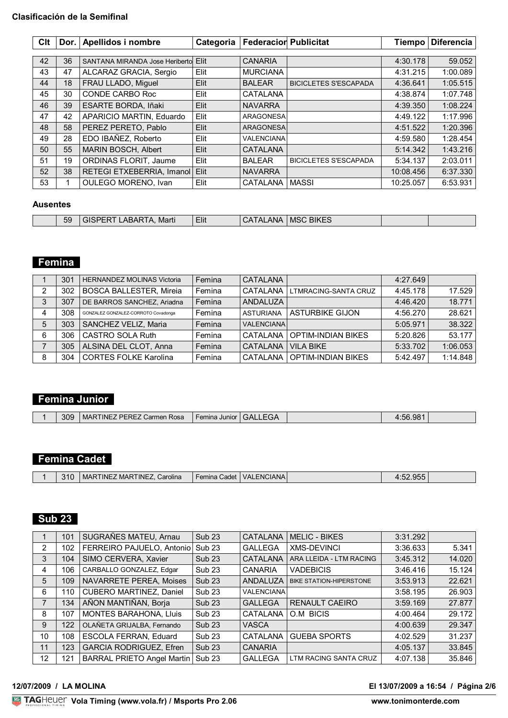### **Clasificación de la Semifinal**

| Clt |    | Dor.   Apellidos i nombre      | Categoria | <b>Federacior Publicitat</b> |                              | <b>Tiempo</b> | <b>Diferencia</b> |
|-----|----|--------------------------------|-----------|------------------------------|------------------------------|---------------|-------------------|
|     |    |                                |           |                              |                              |               |                   |
| 42  | 36 | SANTANA MIRANDA Jose Heriberto | Elit      | <b>CANARIA</b>               |                              | 4:30.178      | 59.052            |
| 43  | 47 | ALCARAZ GRACIA, Sergio         | Elit      | <b>MURCIANA</b>              |                              | 4:31.215      | 1:00.089          |
| 44  | 18 | FRAU LLADO, Miguel             | Elit      | <b>BALEAR</b>                | <b>BICICLETES S'ESCAPADA</b> | 4:36.641      | 1:05.515          |
| 45  | 30 | CONDE CARBO Roc                | Elit      | <b>CATALANA</b>              |                              | 4:38.874      | 1:07.748          |
| 46  | 39 | ESARTE BORDA, Iñaki            | Elit      | <b>NAVARRA</b>               |                              | 4:39.350      | 1:08.224          |
| 47  | 42 | APARICIO MARTIN, Eduardo       | Elit      | <b>ARAGONESA</b>             |                              | 4:49.122      | 1:17.996          |
| 48  | 58 | PEREZ PERETO, Pablo            | Elit      | ARAGONESA                    |                              | 4:51.522      | 1:20.396          |
| 49  | 28 | EDO IBAÑEZ, Roberto            | Elit      | <b>VALENCIANA</b>            |                              | 4:59.580      | 1:28.454          |
| 50  | 55 | <b>MARIN BOSCH, Albert</b>     | Elit      | <b>CATALANA</b>              |                              | 5:14.342      | 1:43.216          |
| 51  | 19 | <b>ORDINAS FLORIT, Jaume</b>   | Elit      | <b>BALEAR</b>                | <b>BICICLETES S'ESCAPADA</b> | 5:34.137      | 2:03.011          |
| 52  | 38 | RETEGI ETXEBERRIA, Imanol      | Elit      | <b>NAVARRA</b>               |                              | 10:08.456     | 6:37.330          |
| 53  |    | <b>OULEGO MORENO, Ivan</b>     | Elit      | <b>CATALANA</b>              | <b>MASSI</b>                 | 10:25.057     | 6:53.931          |

### **Ausentes**

| - 31 M | Elit<br>$ -$<br><b>BIKES</b><br>בת הי<br>חר<br>$\mathbf{v}$<br>59<br>$\cdot$<br>MSC<br>Marti<br>ANA<br>$\cdot$ $\cdot$<br>זכ<br>ADANIA |
|--------|----------------------------------------------------------------------------------------------------------------------------------------|
|--------|----------------------------------------------------------------------------------------------------------------------------------------|

## **Femina**

|   | 301 | <b>HERNANDEZ MOLINAS Victoria</b>   | Femina | CATALANA          |                               | 4:27.649 |          |
|---|-----|-------------------------------------|--------|-------------------|-------------------------------|----------|----------|
| 2 | 302 | <b>BOSCA BALLESTER, Mireia</b>      | Femina | <b>CATALANA</b>   | LTMRACING-SANTA CRUZ          | 4:45.178 | 17.529   |
| 3 | 307 | DE BARROS SANCHEZ, Ariadna          | Femina | ANDALUZA          |                               | 4:46.420 | 18.771   |
|   | 308 | GONZALEZ GONZALEZ-CORROTO Covadonga | Femina | <b>ASTURIANA</b>  | <b>ASTURBIKE GIJON</b>        | 4:56.270 | 28.621   |
|   | 303 | SANCHEZ VELIZ, Maria                | Femina | <b>VALENCIANA</b> |                               | 5:05.971 | 38.322   |
| 6 | 306 | <b>CASTRO SOLA Ruth</b>             | Femina | CATALANA          | <b>OPTIM-INDIAN BIKES</b>     | 5:20.826 | 53.177   |
|   | 305 | ALSINA DEL CLOT, Anna               | Femina | CATALANA          | VII A BIKE                    | 5:33.702 | 1:06.053 |
| 8 | 304 | <b>CORTES FOLKE Karolina</b>        | Femina |                   | CATALANA   OPTIM-INDIAN BIKES | 5:42.497 | 1:14.848 |

# **Femina Junior**

| ுட<br>⊥∪−<br>-70 |  | 309 | DEDE<br>"INE<br><b>MAR</b><br>Rosa<br>Carmen | <b>Femina Junior</b> | . .<br>.iAl |  | טו |  |
|------------------|--|-----|----------------------------------------------|----------------------|-------------|--|----|--|
|------------------|--|-----|----------------------------------------------|----------------------|-------------|--|----|--|

# **Femina Cadet**

| 310 | MARTINEZ MARTINEZ, Carolina | Femina Cadet   VALENCIANA | 4:52.955 |  |
|-----|-----------------------------|---------------------------|----------|--|
|     |                             |                           |          |  |

## **Sub 23**

|                | 101 | SUGRAÑES MATEU, Arnau             | <b>Sub 23</b>     | <b>CATALANA</b>   | <b>MELIC - BIKES</b>           | 3:31.292 |        |
|----------------|-----|-----------------------------------|-------------------|-------------------|--------------------------------|----------|--------|
| $\overline{2}$ | 102 | FERREIRO PAJUELO, Antonio         | Sub <sub>23</sub> | <b>GALLEGA</b>    | <b>XMS-DEVINCI</b>             | 3:36.633 | 5.341  |
| 3              | 104 | SIMO CERVERA, Xavier              | <b>Sub 23</b>     | <b>CATALANA</b>   | ARA LLEIDA - LTM RACING        | 3:45.312 | 14.020 |
| 4              | 106 | CARBALLO GONZALEZ, Edgar          | Sub <sub>23</sub> | <b>CANARIA</b>    | <b>VADEBICIS</b>               | 3:46.416 | 15.124 |
| 5              | 109 | NAVARRETE PEREA, Moises           | <b>Sub 23</b>     | ANDALUZA          | <b>BIKE STATION-HIPERSTONE</b> | 3:53.913 | 22.621 |
| 6              | 110 | CUBERO MARTINEZ, Daniel           | Sub <sub>23</sub> | <b>VALENCIANA</b> |                                | 3:58.195 | 26.903 |
| 7              | 134 | AÑON MANTIÑAN, Borja              | <b>Sub 23</b>     | <b>GALLEGA</b>    | <b>RENAULT CAEIRO</b>          | 3:59.169 | 27.877 |
| 8              | 107 | <b>MONTES BARAHONA, Lluis</b>     | Sub <sub>23</sub> | <b>CATALANA</b>   | O.M BICIS                      | 4:00.464 | 29.172 |
| 9              | 122 | OLAÑETA GRIJALBA, Fernando        | <b>Sub 23</b>     | <b>VASCA</b>      |                                | 4:00.639 | 29.347 |
| 10             | 108 | ESCOLA FERRAN, Eduard             | Sub <sub>23</sub> | CATALANA          | <b>GUEBA SPORTS</b>            | 4:02.529 | 31.237 |
| 11             | 123 | <b>GARCIA RODRIGUEZ, Efren</b>    | Sub <sub>23</sub> | <b>CANARIA</b>    |                                | 4:05.137 | 33.845 |
| 12             | 121 | <b>BARRAL PRIETO Angel Martin</b> | Sub <sub>23</sub> | <b>GALLEGA</b>    | LTM RACING SANTA CRUZ          | 4:07.138 | 35.846 |

### **12/07/2009 / LA MOLINA El 13/07/2009 a 16:54 / Página 2/6**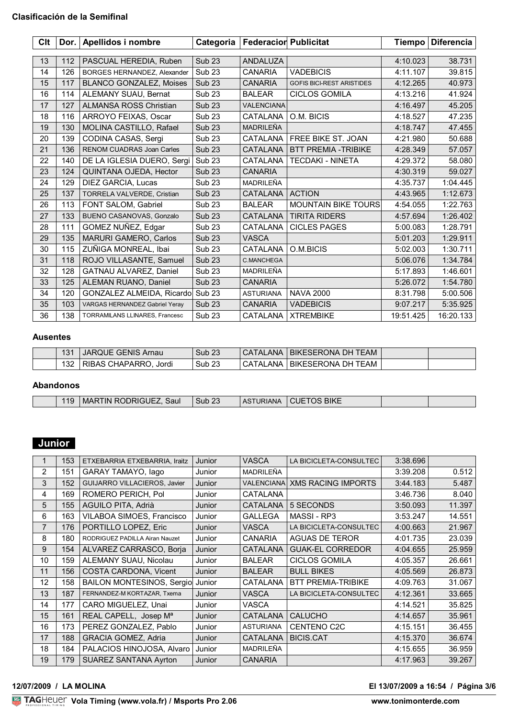### **Clasificación de la Semifinal**

| Clt |     | Dor. Apellidos i nombre           | Categoria         | <b>Federacior Publicitat</b> |                                  | <b>Tiempo</b> | <b>Diferencia</b> |
|-----|-----|-----------------------------------|-------------------|------------------------------|----------------------------------|---------------|-------------------|
|     |     |                                   |                   |                              |                                  |               |                   |
| 13  | 112 | PASCUAL HEREDIA, Ruben            | <b>Sub 23</b>     | ANDALUZA                     |                                  | 4:10.023      | 38.731            |
| 14  | 126 | BORGES HERNANDEZ, Alexander       | <b>Sub 23</b>     | <b>CANARIA</b>               | <b>VADEBICIS</b>                 | 4:11.107      | 39.815            |
| 15  | 117 | <b>BLANCO GONZALEZ, Moises</b>    | <b>Sub 23</b>     | <b>CANARIA</b>               | <b>GOFIS BICI-REST ARISTIDES</b> | 4:12.265      | 40.973            |
| 16  | 114 | ALEMANY SUAU, Bernat              | <b>Sub 23</b>     | <b>BALEAR</b>                | <b>CICLOS GOMILA</b>             | 4:13.216      | 41.924            |
| 17  | 127 | <b>ALMANSA ROSS Christian</b>     | <b>Sub 23</b>     | <b>VALENCIANA</b>            |                                  | 4:16.497      | 45.205            |
| 18  | 116 | ARROYO FEIXAS, Oscar              | <b>Sub 23</b>     | CATALANA                     | O.M. BICIS                       | 4:18.527      | 47.235            |
| 19  | 130 | MOLINA CASTILLO, Rafael           | <b>Sub 23</b>     | <b>MADRILEÑA</b>             |                                  | 4:18.747      | 47.455            |
| 20  | 139 | CODINA CASAS, Sergi               | <b>Sub 23</b>     | CATALANA                     | FREE BIKE ST. JOAN               | 4:21.980      | 50.688            |
| 21  | 136 | <b>RENOM CUADRAS Joan Carles</b>  | <b>Sub 23</b>     | <b>CATALANA</b>              | <b>BTT PREMIA -TRIBIKE</b>       | 4:28.349      | 57.057            |
| 22  | 140 | DE LA IGLESIA DUERO, Sergi        | Sub <sub>23</sub> | CATALANA                     | <b>TECDAKI - NINETA</b>          | 4:29.372      | 58.080            |
| 23  | 124 | QUINTANA OJEDA, Hector            | <b>Sub 23</b>     | <b>CANARIA</b>               |                                  | 4:30.319      | 59.027            |
| 24  | 129 | DIEZ GARCIA, Lucas                | <b>Sub 23</b>     | MADRILEÑA                    |                                  | 4:35.737      | 1:04.445          |
| 25  | 137 | <b>TORRELA VALVERDE, Cristian</b> | <b>Sub 23</b>     | <b>CATALANA</b>              | <b>ACTION</b>                    | 4:43.965      | 1:12.673          |
| 26  | 113 | FONT SALOM, Gabriel               | <b>Sub 23</b>     | <b>BALEAR</b>                | <b>MOUNTAIN BIKE TOURS</b>       | 4:54.055      | 1:22.763          |
| 27  | 133 | BUENO CASANOVAS, Gonzalo          | Sub <sub>23</sub> | CATALANA                     | <b>TIRITA RIDERS</b>             | 4:57.694      | 1:26.402          |
| 28  | 111 | GOMEZ NUÑEZ, Edgar                | Sub <sub>23</sub> | <b>CATALANA</b>              | <b>CICLES PAGES</b>              | 5:00.083      | 1:28.791          |
| 29  | 135 | <b>MARURI GAMERO, Carlos</b>      | <b>Sub 23</b>     | <b>VASCA</b>                 |                                  | 5:01.203      | 1:29.911          |
| 30  | 115 | ZUÑIGA MONREAL, Ibai              | <b>Sub 23</b>     | CATALANA                     | O.M.BICIS                        | 5:02.003      | 1:30.711          |
| 31  | 118 | ROJO VILLASANTE, Samuel           | <b>Sub 23</b>     | C.MANCHEGA                   |                                  | 5:06.076      | 1:34.784          |
| 32  | 128 | GATNAU ALVAREZ, Daniel            | Sub <sub>23</sub> | MADRILEÑA                    |                                  | 5:17.893      | 1:46.601          |
| 33  | 125 | ALEMAN RUANO, Daniel              | <b>Sub 23</b>     | <b>CANARIA</b>               |                                  | 5:26.072      | 1:54.780          |
| 34  | 120 | GONZALEZ ALMEIDA, Ricardo         | Sub <sub>23</sub> | <b>ASTURIANA</b>             | <b>NAVA 2000</b>                 | 8:31.798      | 5:00.506          |
| 35  | 103 | VARGAS HERNANDEZ Gabriel Yeray    | <b>Sub 23</b>     | <b>CANARIA</b>               | <b>VADEBICIS</b>                 | 9:07.217      | 5:35.925          |
| 36  | 138 | TORRAMILANS LLINARES, Francesc    | Sub <sub>23</sub> | <b>CATALANA</b>              | <b>XTREMBIKE</b>                 | 19:51.425     | 16:20.133         |

### **Ausentes**

| 131 | <b>JARQUE GENIS Arnau</b> | Sub <sub>23</sub> | CATALANA        | BIKESERONA DH TEAM   |  |
|-----|---------------------------|-------------------|-----------------|----------------------|--|
| 132 | Jordi<br>RIBAS CHAPARRO.  | Sub <sub>23</sub> | <b>CATALANA</b> | I BIKESERONA DH TEAM |  |

### **Abandonos**

| 119 <sub>1</sub> | Saul<br>' RODRIGUEZ.<br><b>MARTIN</b> | $-0o$<br>Sub 23 | ASTURIANA | <b>BIKE</b><br>N JE |  |
|------------------|---------------------------------------|-----------------|-----------|---------------------|--|
|                  |                                       |                 |           |                     |  |

## **Junior**

|    | 153 | ETXEBARRIA ETXEBARRIA, Iraitz    | Junior | <b>VASCA</b>      | LA BICICLETA-CONSULTEC    | 3:38.696 |        |
|----|-----|----------------------------------|--------|-------------------|---------------------------|----------|--------|
| 2  | 151 | GARAY TAMAYO, lago               | Junior | MADRILEÑA         |                           | 3:39.208 | 0.512  |
| 3  | 152 | GUIJARRO VILLACIEROS, Javier     | Junior | <b>VALENCIANA</b> | <b>XMS RACING IMPORTS</b> | 3:44.183 | 5.487  |
| 4  | 169 | ROMERO PERICH, Pol               | Junior | CATALANA          |                           | 3:46.736 | 8.040  |
|    |     |                                  |        |                   |                           |          |        |
| 5  | 155 | AGUILO PITA, Adrià               | Junior | <b>CATALANA</b>   | 5 SECONDS                 | 3:50.093 | 11.397 |
| 6  | 163 | VILABOA SIMOES, Francisco        | Junior | <b>GALLEGA</b>    | MASSI-RP3                 | 3:53.247 | 14.551 |
| 7  | 176 | PORTILLO LOPEZ, Eric             | Junior | <b>VASCA</b>      | LA BICICLETA-CONSULTEC    | 4:00.663 | 21.967 |
| 8  | 180 | RODRIGUEZ PADILLA Airan Nauzet   | Junior | <b>CANARIA</b>    | <b>AGUAS DE TEROR</b>     | 4:01.735 | 23.039 |
| 9  | 154 | ALVAREZ CARRASCO, Borja          | Junior | <b>CATALANA</b>   | <b>GUAK-EL CORREDOR</b>   | 4:04.655 | 25.959 |
| 10 | 159 | ALEMANY SUAU, Nicolau            | Junior | <b>BALEAR</b>     | <b>CICLOS GOMILA</b>      | 4:05.357 | 26.661 |
| 11 | 156 | COSTA CARDONA, Vicent            | Junior | <b>BALEAR</b>     | <b>BULL BIKES</b>         | 4:05.569 | 26.873 |
| 12 | 158 | BAILON MONTESINOS, Sergio Junior |        | CATALANA          | <b>BTT PREMIA-TRIBIKE</b> | 4:09.763 | 31.067 |
| 13 | 187 | FERNANDEZ-M KORTAZAR, Txema      | Junior | <b>VASCA</b>      | LA BICICLETA-CONSULTEC    | 4:12.361 | 33.665 |
| 14 | 177 | CARO MIGUELEZ, Unai              | Junior | VASCA             |                           | 4:14.521 | 35.825 |
| 15 | 161 | REAL CAPELL, Josep Ma            | Junior | <b>CATALANA</b>   | <b>CALUCHO</b>            | 4:14.657 | 35.961 |
| 16 | 173 | PEREZ GONZALEZ, Pablo            | Junior | <b>ASTURIANA</b>  | CENTENO C2C               | 4:15.151 | 36.455 |
| 17 | 188 | <b>GRACIA GOMEZ, Adria</b>       | Junior | <b>CATALANA</b>   | <b>BICIS.CAT</b>          | 4:15.370 | 36.674 |
| 18 | 184 | PALACIOS HINOJOSA, Alvaro        | Junior | MADRILEÑA         |                           | 4:15.655 | 36.959 |
| 19 | 179 | <b>SUAREZ SANTANA Ayrton</b>     | Junior | <b>CANARIA</b>    |                           | 4:17.963 | 39.267 |

### <u>Volanda Volanda est</u> **12/07/2009 / LA MOLINA El 13/07/2009 a 16:54 / Página 3/6**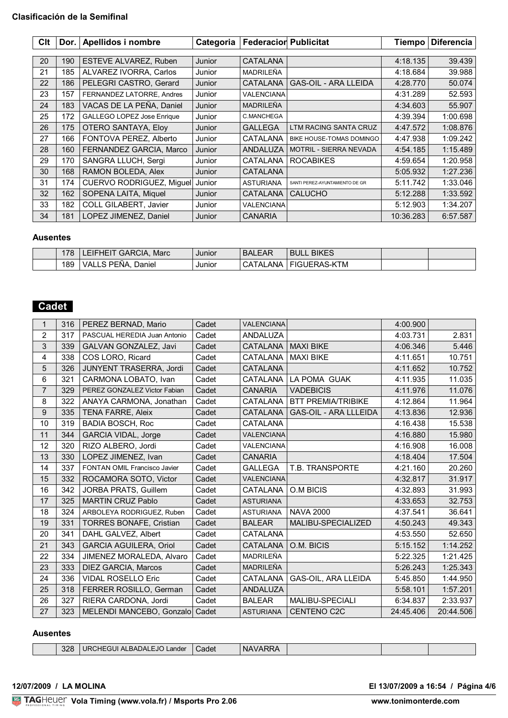| Clt | Dor. $ $ | Apellidos i nombre                | Categoria | <b>Federacior Publicitat</b> |                                | <b>Tiempo</b> | <b>Diferencia</b> |
|-----|----------|-----------------------------------|-----------|------------------------------|--------------------------------|---------------|-------------------|
|     |          |                                   |           |                              |                                |               |                   |
| 20  | 190      | ESTEVE ALVAREZ, Ruben             | Junior    | <b>CATALANA</b>              |                                | 4:18.135      | 39.439            |
| 21  | 185      | ALVAREZ IVORRA, Carlos            | Junior    | MADRILEÑA                    |                                | 4:18.684      | 39.988            |
| 22  | 186      | PELEGRI CASTRO, Gerard            | Junior    | CATALANA                     | <b>GAS-OIL - ARA LLEIDA</b>    | 4:28.770      | 50.074            |
| 23  | 157      | FERNANDEZ LATORRE, Andres         | Junior    | <b>VALENCIANA</b>            |                                | 4:31.289      | 52.593            |
| 24  | 183      | VACAS DE LA PEÑA, Daniel          | Junior    | <b>MADRILEÑA</b>             |                                | 4:34.603      | 55.907            |
| 25  | 172      | <b>GALLEGO LOPEZ Jose Enrique</b> | Junior    | C.MANCHEGA                   |                                | 4:39.394      | 1:00.698          |
| 26  | 175      | <b>OTERO SANTAYA, Eloy</b>        | Junior    | <b>GALLEGA</b>               | LTM RACING SANTA CRUZ          | 4:47.572      | 1:08.876          |
| 27  | 166      | FONTOVA PEREZ, Alberto            | Junior    | <b>CATALANA</b>              | BIKE HOUSE-TOMAS DOMINGO       | 4:47.938      | 1:09.242          |
| 28  | 160      | FERNANDEZ GARCIA, Marco           | Junior    | <b>ANDALUZA</b>              | <b>MOTRIL - SIERRA NEVADA</b>  | 4:54.185      | 1:15.489          |
| 29  | 170      | SANGRA LLUCH, Sergi               | Junior    | <b>CATALANA</b>              | <b>ROCABIKES</b>               | 4:59.654      | 1:20.958          |
| 30  | 168      | RAMON BOLEDA, Alex                | Junior    | <b>CATALANA</b>              |                                | 5:05.932      | 1:27.236          |
| 31  | 174      | CUERVO RODRIGUEZ, Miguel          | Junior    | <b>ASTURIANA</b>             | SANTI PEREZ-AYUNTAMIENTO DE GR | 5:11.742      | 1:33.046          |
| 32  | 162      | SOPENA LAITA, Miquel              | Junior    | <b>CATALANA</b>              | <b>CALUCHO</b>                 | 5:12.288      | 1:33.592          |
| 33  | 182      | COLL GILABERT, Javier             | Junior    | <b>VALENCIANA</b>            |                                | 5:12.903      | 1:34.207          |
| 34  | 181      | LOPEZ JIMENEZ, Daniel             | Junior    | <b>CANARIA</b>               |                                | 10:36.283     | 6:57.587          |

### **Ausentes**

| 170 | Marc<br><b>?CIA</b><br>GAR<br>FHF | Junior | $ \sim$<br><b>BAL</b><br>ᄂᄭ<br>. LOT | <b>BIKES</b><br>BUL                          |  |
|-----|-----------------------------------|--------|--------------------------------------|----------------------------------------------|--|
| 189 | <b>PENA</b><br>⊃aniel<br>VД<br>-  | Junior | ANA<br>$\mathbf{v}$<br>۰ می<br>- 11  | KTM<br>$\sim$<br><b>EIGI</b><br>JERA:<br>7-N |  |

# **Cadet**

| 1              | 316 | PEREZ BERNAD, Mario            | Cadet | <b>VALENCIANA</b> |                              | 4:00.900  |           |
|----------------|-----|--------------------------------|-------|-------------------|------------------------------|-----------|-----------|
| $\overline{2}$ | 317 | PASCUAL HEREDIA Juan Antonio   | Cadet | ANDALUZA          |                              | 4:03.731  | 2.831     |
| 3              | 339 | GALVAN GONZALEZ, Javi          | Cadet | <b>CATALANA</b>   | <b>MAXI BIKE</b>             | 4:06.346  | 5.446     |
| 4              | 338 | COS LORO, Ricard               | Cadet | CATALANA          | <b>MAXI BIKE</b>             | 4:11.651  | 10.751    |
| 5              | 326 | JUNYENT TRASERRA, Jordi        | Cadet | <b>CATALANA</b>   |                              | 4:11.652  | 10.752    |
| 6              | 321 | CARMONA LOBATO, Ivan           | Cadet | <b>CATALANA</b>   | LA POMA GUAK                 | 4:11.935  | 11.035    |
| $\overline{7}$ | 329 | PEREZ GONZALEZ Victor Fabian   | Cadet | <b>CANARIA</b>    | <b>VADEBICIS</b>             | 4:11.976  | 11.076    |
| 8              | 322 | ANAYA CARMONA, Jonathan        | Cadet | CATALANA          | <b>BTT PREMIA/TRIBIKE</b>    | 4:12.864  | 11.964    |
| 9              | 335 | <b>TENA FARRE, Aleix</b>       | Cadet | CATALANA          | <b>GAS-OIL - ARA LLLEIDA</b> | 4:13.836  | 12.936    |
| 10             | 319 | <b>BADIA BOSCH, Roc</b>        | Cadet | <b>CATALANA</b>   |                              | 4:16.438  | 15.538    |
| 11             | 344 | <b>GARCIA VIDAL, Jorge</b>     | Cadet | <b>VALENCIANA</b> |                              | 4:16.880  | 15.980    |
| 12             | 320 | RIZO ALBERO, Jordi             | Cadet | VALENCIANA        |                              | 4:16.908  | 16.008    |
| 13             | 330 | LOPEZ JIMENEZ, Ivan            | Cadet | <b>CANARIA</b>    |                              | 4:18.404  | 17.504    |
| 14             | 337 | FONTAN OMIL Francisco Javier   | Cadet | <b>GALLEGA</b>    | T.B. TRANSPORTE              | 4:21.160  | 20.260    |
| 15             | 332 | ROCAMORA SOTO, Victor          | Cadet | <b>VALENCIANA</b> |                              | 4:32.817  | 31.917    |
| 16             | 342 | JORBA PRATS, Guillem           | Cadet | CATALANA          | O.M BICIS                    | 4:32.893  | 31.993    |
| 17             | 325 | <b>MARTIN CRUZ Pablo</b>       | Cadet | <b>ASTURIANA</b>  |                              | 4:33.653  | 32.753    |
| 18             | 324 | ARBOLEYA RODRIGUEZ, Ruben      | Cadet | <b>ASTURIANA</b>  | <b>NAVA 2000</b>             | 4:37.541  | 36.641    |
| 19             | 331 | <b>TORRES BONAFE, Cristian</b> | Cadet | <b>BALEAR</b>     | MALIBU-SPECIALIZED           | 4:50.243  | 49.343    |
| 20             | 341 | DAHL GALVEZ, Albert            | Cadet | CATALANA          |                              | 4:53.550  | 52.650    |
| 21             | 343 | <b>GARCIA AGUILERA, Oriol</b>  | Cadet | CATALANA          | O.M. BICIS                   | 5:15.152  | 1:14.252  |
| 22             | 334 | JIMENEZ MORALEDA, Alvaro       | Cadet | MADRILEÑA         |                              | 5:22.325  | 1:21.425  |
| 23             | 333 | DIEZ GARCIA, Marcos            | Cadet | <b>MADRILEÑA</b>  |                              | 5:26.243  | 1:25.343  |
| 24             | 336 | <b>VIDAL ROSELLO Eric</b>      | Cadet | CATALANA          | GAS-OIL, ARA LLEIDA          | 5:45.850  | 1:44.950  |
| 25             | 318 | FERRER ROSILLO, German         | Cadet | ANDALUZA          |                              | 5:58.101  | 1:57.201  |
| 26             | 327 | RIERA CARDONA, Jordi           | Cadet | <b>BALEAR</b>     | <b>MALIBU-SPECIALI</b>       | 6:34.837  | 2:33.937  |
| 27             | 323 | MELENDI MANCEBO, Gonzalo       | Cadet | <b>ASTURIANA</b>  | <b>CENTENO C2C</b>           | 24:45.406 | 20:44.506 |

### **Ausentes**

| 'NL |  | 328 | URCHEGUI ALBADALEJO<br>Lander | Cadet |  |  |  |  |
|-----|--|-----|-------------------------------|-------|--|--|--|--|
|-----|--|-----|-------------------------------|-------|--|--|--|--|

<u>Volanda Volanda est</u> **12/07/2009 / LA MOLINA El 13/07/2009 a 16:54 / Página 4/6**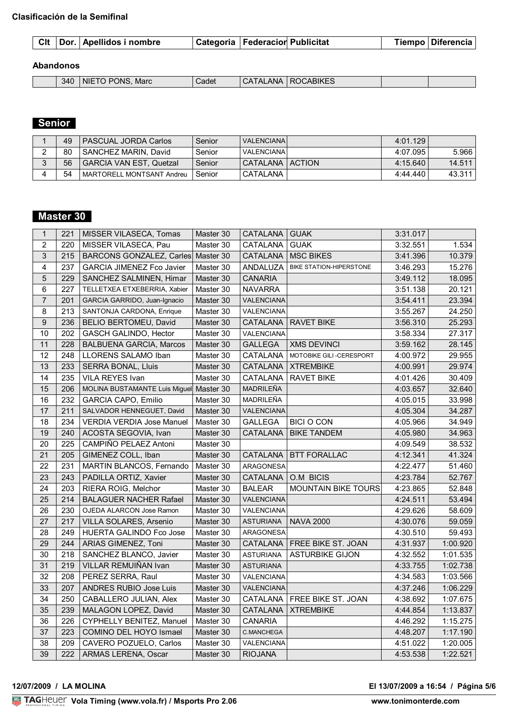### **Abandonos**

| 340 | <b>PONS</b><br>NIF<br>m<br>Marc | Cadet | $\cdot$ $\sim$<br>ANA<br>$\mathbf{v}$<br>$\cdot$ | :ABIKES<br>R0<br>)( :A |  |
|-----|---------------------------------|-------|--------------------------------------------------|------------------------|--|

## **Senior**

|   | 49 | <b>PASCUAL JORDA Carlos</b> | Senior | VALENCIANA        | 4:01.129 |        |
|---|----|-----------------------------|--------|-------------------|----------|--------|
|   | 80 | I SANCHEZ MARIN. David      | Senior | <b>VALENCIANA</b> | 4:07.095 | 5.966  |
| ົ | 56 | GARCIA VAN EST. Quetzal     | Senior | CATALANA   ACTION | 4:15.640 | 14.511 |
|   | 54 | MARTORELL MONTSANT Andreu   | Senior | CATALANA          | 4:44.440 | 43.311 |

## **Master 30**

| $\mathbf{1}$   | 221 | MISSER VILASECA, Tomas           | Master 30 | CATALANA   GUAK   |                                | 3:31.017 |          |
|----------------|-----|----------------------------------|-----------|-------------------|--------------------------------|----------|----------|
| $\overline{2}$ | 220 | MISSER VILASECA, Pau             | Master 30 | CATALANA          | <b>GUAK</b>                    | 3:32.551 | 1.534    |
| 3              | 215 | BARCONS GONZALEZ, Carles         | Master 30 | CATALANA          | <b>MSC BIKES</b>               | 3:41.396 | 10.379   |
| 4              | 237 | <b>GARCIA JIMENEZ Fco Javier</b> | Master 30 | ANDALUZA          | <b>BIKE STATION-HIPERSTONE</b> | 3:46.293 | 15.276   |
| 5              | 229 | SANCHEZ SALMINEN, Himar          | Master 30 | <b>CANARIA</b>    |                                | 3:49.112 | 18.095   |
| 6              | 227 | TELLETXEA ETXEBERRIA, Xabier     | Master 30 | <b>NAVARRA</b>    |                                | 3:51.138 | 20.121   |
| $\overline{7}$ | 201 | GARCIA GARRIDO, Juan-Ignacio     | Master 30 | <b>VALENCIANA</b> |                                | 3:54.411 | 23.394   |
| 8              | 213 | SANTONJA CARDONA, Enrique        | Master 30 | VALENCIANA        |                                | 3:55.267 | 24.250   |
| 9              | 236 | BELIO BERTOMEU, David            | Master 30 | CATALANA          | <b>RAVET BIKE</b>              | 3:56.310 | 25.293   |
| 10             | 202 | GASCH GALINDO, Hector            | Master 30 | VALENCIANA        |                                | 3:58.334 | 27.317   |
| 11             | 228 | <b>BALBUENA GARCIA, Marcos</b>   | Master 30 | <b>GALLEGA</b>    | <b>XMS DEVINCI</b>             | 3:59.162 | 28.145   |
| 12             | 248 | LLORENS SALAMO Iban              | Master 30 | CATALANA          | MOTOBIKE GILI-CERESPORT        | 4:00.972 | 29.955   |
| 13             | 233 | <b>SERRA BONAL, Lluis</b>        | Master 30 | <b>CATALANA</b>   | <b>XTREMBIKE</b>               | 4:00.991 | 29.974   |
| 14             | 235 | VILA REYES Ivan                  | Master 30 | CATALANA          | <b>RAVET BIKE</b>              | 4:01.426 | 30.409   |
| 15             | 206 | MOLINA BUSTAMANTE Luis Miguel    | Master 30 | MADRILEÑA         |                                | 4:03.657 | 32.640   |
| 16             | 232 | <b>GARCIA CAPO, Emilio</b>       | Master 30 | MADRILEÑA         |                                | 4:05.015 | 33.998   |
| 17             | 211 | SALVADOR HENNEGUET, David        | Master 30 | VALENCIANA        |                                | 4:05.304 | 34.287   |
| 18             | 234 | VERDIA VERDIA Jose Manuel        | Master 30 | <b>GALLEGA</b>    | <b>BICI O CON</b>              | 4:05.966 | 34.949   |
| 19             | 240 | ACOSTA SEGOVIA, Ivan             | Master 30 | CATALANA          | <b>BIKE TANDEM</b>             | 4:05.980 | 34.963   |
| 20             | 225 | CAMPIÑO PELAEZ Antoni            | Master 30 |                   |                                | 4:09.549 | 38.532   |
| 21             | 205 | GIMENEZ COLL, Iban               | Master 30 | CATALANA          | <b>BTT FORALLAC</b>            | 4:12.341 | 41.324   |
| 22             | 231 | MARTIN BLANCOS, Fernando         | Master 30 | <b>ARAGONESA</b>  |                                | 4:22.477 | 51.460   |
| 23             | 243 | PADILLA ORTIZ, Xavier            | Master 30 | CATALANA          | O.M BICIS                      | 4:23.784 | 52.767   |
| 24             | 203 | RIERA ROIG, Melchor              | Master 30 | <b>BALEAR</b>     | MOUNTAIN BIKE TOURS            | 4:23.865 | 52.848   |
| 25             | 214 | <b>BALAGUER NACHER Rafael</b>    | Master 30 | VALENCIANA        |                                | 4:24.511 | 53.494   |
| 26             | 230 | OJEDA ALARCON Jose Ramon         | Master 30 | VALENCIANA        |                                | 4:29.626 | 58.609   |
| 27             | 217 | VILLA SOLARES, Arsenio           | Master 30 | <b>ASTURIANA</b>  | <b>NAVA 2000</b>               | 4:30.076 | 59.059   |
| 28             | 249 | HUERTA GALINDO Fco Jose          | Master 30 | ARAGONESA         |                                | 4:30.510 | 59.493   |
| 29             | 244 | ARIAS GIMENEZ, Toni              | Master 30 | CATALANA          | FREE BIKE ST. JOAN             | 4:31.937 | 1:00.920 |
| 30             | 218 | SANCHEZ BLANCO, Javier           | Master 30 | <b>ASTURIANA</b>  | <b>ASTURBIKE GIJON</b>         | 4:32.552 | 1:01.535 |
| 31             | 219 | VILLAR REMUIÑAN Ivan             | Master 30 | <b>ASTURIANA</b>  |                                | 4:33.755 | 1:02.738 |
| 32             | 208 | PEREZ SERRA, Raul                | Master 30 | VALENCIANA        |                                | 4:34.583 | 1:03.566 |
| 33             | 207 | ANDRES RUBIO Jose Luis           | Master 30 | VALENCIANA        |                                | 4:37.246 | 1:06.229 |
| 34             | 250 | CABALLERO JULIAN, Alex           | Master 30 | CATALANA          | FREE BIKE ST. JOAN             | 4:38.692 | 1:07.675 |
| 35             | 239 | MALAGON LOPEZ, David             | Master 30 | CATALANA          | <b>XTREMBIKE</b>               | 4:44.854 | 1:13.837 |
| 36             | 226 | CYPHELLY BENITEZ, Manuel         | Master 30 | <b>CANARIA</b>    |                                | 4:46.292 | 1:15.275 |
| 37             | 223 | COMINO DEL HOYO Ismael           | Master 30 | C.MANCHEGA        |                                | 4:48.207 | 1:17.190 |
| 38             | 209 | CAVERO POZUELO, Carlos           | Master 30 | VALENCIANA        |                                | 4:51.022 | 1:20.005 |
| 39             | 222 | ARMAS LERENA, Oscar              | Master 30 | <b>RIOJANA</b>    |                                | 4:53.538 | 1:22.521 |

### **12/07/2009 / LA MOLINA El 13/07/2009 a 16:54 / Página 5/6**